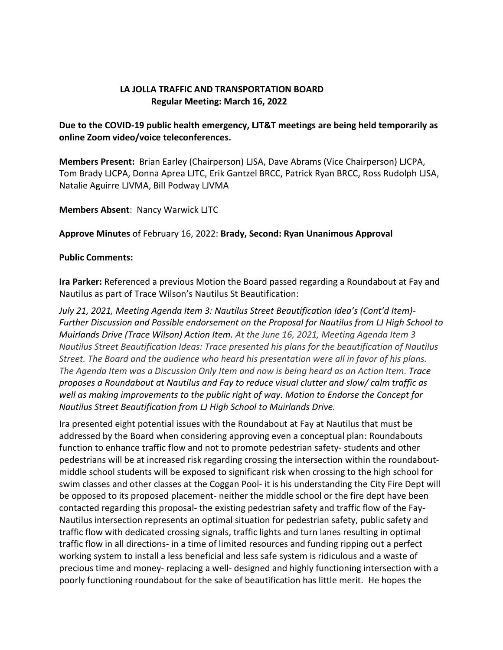## **LA JOLLA TRAFFIC AND TRANSPORTATION BOARD Regular Meeting: March 16, 2022**

## **Due to the COVID-19 public health emergency, LJT&T meetings are being held temporarily as online Zoom video/voice teleconferences.**

**Members Present:** Brian Earley (Chairperson) LJSA, Dave Abrams (Vice Chairperson) LJCPA, Tom Brady LJCPA, Donna Aprea LJTC, Erik Gantzel BRCC, Patrick Ryan BRCC, Ross Rudolph LJSA, Natalie Aguirre LJVMA, Bill Podway LJVMA

**Members Absent**: Nancy Warwick LJTC

**Approve Minutes** of February 16, 2022: **Brady, Second: Ryan Unanimous Approval**

### **Public Comments:**

**Ira Parker:** Referenced a previous Motion the Board passed regarding a Roundabout at Fay and Nautilus as part of Trace Wilson's Nautilus St Beautification:

*July 21, 2021, Meeting Agenda Item 3: Nautilus Street Beautification Idea's (Cont'd Item)- Further Discussion and Possible endorsement on the Proposal for Nautilus from LJ High School to Muirlands Drive (Trace Wilson) Action Item. At the June 16, 2021, Meeting Agenda Item 3 Nautilus Street Beautification Ideas: Trace presented his plans for the beautification of Nautilus Street. The Board and the audience who heard his presentation were all in favor of his plans. The Agenda Item was a Discussion Only Item and now is being heard as an Action Item. Trace proposes a Roundabout at Nautilus and Fay to reduce visual clutter and slow/ calm traffic as well as making improvements to the public right of way. Motion to Endorse the Concept for Nautilus Street Beautification from LJ High School to Muirlands Drive.*

Ira presented eight potential issues with the Roundabout at Fay at Nautilus that must be addressed by the Board when considering approving even a conceptual plan: Roundabouts function to enhance traffic flow and not to promote pedestrian safety- students and other pedestrians will be at increased risk regarding crossing the intersection within the roundaboutmiddle school students will be exposed to significant risk when crossing to the high school for swim classes and other classes at the Coggan Pool- it is his understanding the City Fire Dept will be opposed to its proposed placement- neither the middle school or the fire dept have been contacted regarding this proposal- the existing pedestrian safety and traffic flow of the Fay-Nautilus intersection represents an optimal situation for pedestrian safety, public safety and traffic flow with dedicated crossing signals, traffic lights and turn lanes resulting in optimal traffic flow in all directions- in a time of limited resources and funding ripping out a perfect working system to install a less beneficial and less safe system is ridiculous and a waste of precious time and money- replacing a well- designed and highly functioning intersection with a poorly functioning roundabout for the sake of beautification has little merit. He hopes the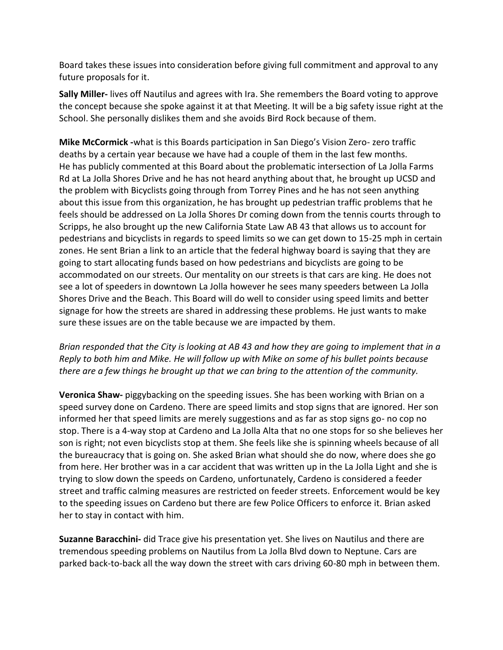Board takes these issues into consideration before giving full commitment and approval to any future proposals for it.

**Sally Miller-** lives off Nautilus and agrees with Ira. She remembers the Board voting to approve the concept because she spoke against it at that Meeting. It will be a big safety issue right at the School. She personally dislikes them and she avoids Bird Rock because of them.

**Mike McCormick -**what is this Boards participation in San Diego's Vision Zero- zero traffic deaths by a certain year because we have had a couple of them in the last few months. He has publicly commented at this Board about the problematic intersection of La Jolla Farms Rd at La Jolla Shores Drive and he has not heard anything about that, he brought up UCSD and the problem with Bicyclists going through from Torrey Pines and he has not seen anything about this issue from this organization, he has brought up pedestrian traffic problems that he feels should be addressed on La Jolla Shores Dr coming down from the tennis courts through to Scripps, he also brought up the new California State Law AB 43 that allows us to account for pedestrians and bicyclists in regards to speed limits so we can get down to 15-25 mph in certain zones. He sent Brian a link to an article that the federal highway board is saying that they are going to start allocating funds based on how pedestrians and bicyclists are going to be accommodated on our streets. Our mentality on our streets is that cars are king. He does not see a lot of speeders in downtown La Jolla however he sees many speeders between La Jolla Shores Drive and the Beach. This Board will do well to consider using speed limits and better signage for how the streets are shared in addressing these problems. He just wants to make sure these issues are on the table because we are impacted by them.

*Brian responded that the City is looking at AB 43 and how they are going to implement that in a Reply to both him and Mike. He will follow up with Mike on some of his bullet points because there are a few things he brought up that we can bring to the attention of the community.*

**Veronica Shaw-** piggybacking on the speeding issues. She has been working with Brian on a speed survey done on Cardeno. There are speed limits and stop signs that are ignored. Her son informed her that speed limits are merely suggestions and as far as stop signs go- no cop no stop. There is a 4-way stop at Cardeno and La Jolla Alta that no one stops for so she believes her son is right; not even bicyclists stop at them. She feels like she is spinning wheels because of all the bureaucracy that is going on. She asked Brian what should she do now, where does she go from here. Her brother was in a car accident that was written up in the La Jolla Light and she is trying to slow down the speeds on Cardeno, unfortunately, Cardeno is considered a feeder street and traffic calming measures are restricted on feeder streets. Enforcement would be key to the speeding issues on Cardeno but there are few Police Officers to enforce it. Brian asked her to stay in contact with him.

**Suzanne Baracchini-** did Trace give his presentation yet. She lives on Nautilus and there are tremendous speeding problems on Nautilus from La Jolla Blvd down to Neptune. Cars are parked back-to-back all the way down the street with cars driving 60-80 mph in between them.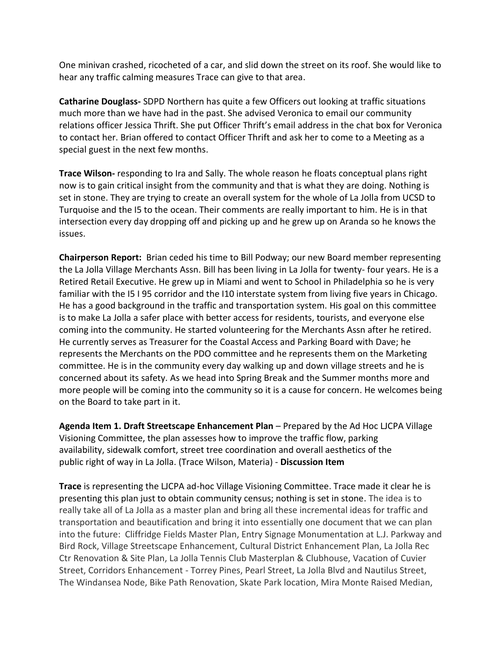One minivan crashed, ricocheted of a car, and slid down the street on its roof. She would like to hear any traffic calming measures Trace can give to that area.

**Catharine Douglass-** SDPD Northern has quite a few Officers out looking at traffic situations much more than we have had in the past. She advised Veronica to email our community relations officer Jessica Thrift. She put Officer Thrift's email address in the chat box for Veronica to contact her. Brian offered to contact Officer Thrift and ask her to come to a Meeting as a special guest in the next few months.

**Trace Wilson-** responding to Ira and Sally. The whole reason he floats conceptual plans right now is to gain critical insight from the community and that is what they are doing. Nothing is set in stone. They are trying to create an overall system for the whole of La Jolla from UCSD to Turquoise and the I5 to the ocean. Their comments are really important to him. He is in that intersection every day dropping off and picking up and he grew up on Aranda so he knows the issues.

**Chairperson Report:** Brian ceded his time to Bill Podway; our new Board member representing the La Jolla Village Merchants Assn. Bill has been living in La Jolla for twenty- four years. He is a Retired Retail Executive. He grew up in Miami and went to School in Philadelphia so he is very familiar with the I5 I 95 corridor and the I10 interstate system from living five years in Chicago. He has a good background in the traffic and transportation system. His goal on this committee is to make La Jolla a safer place with better access for residents, tourists, and everyone else coming into the community. He started volunteering for the Merchants Assn after he retired. He currently serves as Treasurer for the Coastal Access and Parking Board with Dave; he represents the Merchants on the PDO committee and he represents them on the Marketing committee. He is in the community every day walking up and down village streets and he is concerned about its safety. As we head into Spring Break and the Summer months more and more people will be coming into the community so it is a cause for concern. He welcomes being on the Board to take part in it.

**Agenda Item 1. Draft Streetscape Enhancement Plan** – Prepared by the Ad Hoc LJCPA Village Visioning Committee, the plan assesses how to improve the traffic flow, parking availability, sidewalk comfort, street tree coordination and overall aesthetics of the public right of way in La Jolla. (Trace Wilson, Materia) - **Discussion Item**

**Trace** is representing the LJCPA ad-hoc Village Visioning Committee. Trace made it clear he is presenting this plan just to obtain community census; nothing is set in stone. The idea is to really take all of La Jolla as a master plan and bring all these incremental ideas for traffic and transportation and beautification and bring it into essentially one document that we can plan into the future: Cliffridge Fields Master Plan, Entry Signage Monumentation at L.J. Parkway and Bird Rock, Village Streetscape Enhancement, Cultural District Enhancement Plan, La Jolla Rec Ctr Renovation & Site Plan, La Jolla Tennis Club Masterplan & Clubhouse, Vacation of Cuvier Street, Corridors Enhancement - Torrey Pines, Pearl Street, La Jolla Blvd and Nautilus Street, The Windansea Node, Bike Path Renovation, Skate Park location, Mira Monte Raised Median,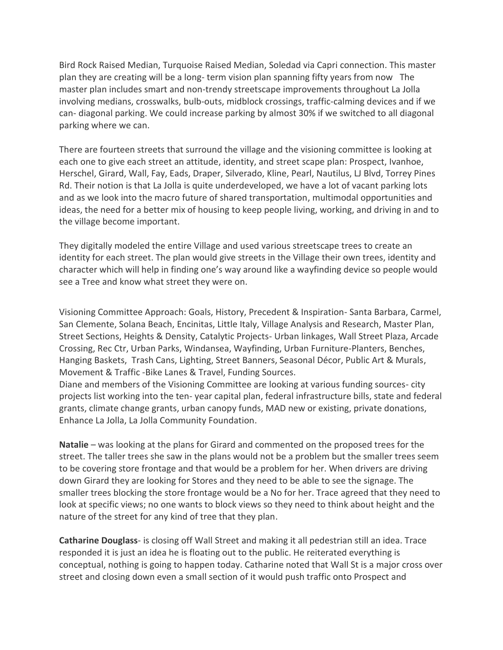Bird Rock Raised Median, Turquoise Raised Median, Soledad via Capri connection. This master plan they are creating will be a long- term vision plan spanning fifty years from now The master plan includes smart and non-trendy streetscape improvements throughout La Jolla involving medians, crosswalks, bulb-outs, midblock crossings, traffic-calming devices and if we can- diagonal parking. We could increase parking by almost 30% if we switched to all diagonal parking where we can.

There are fourteen streets that surround the village and the visioning committee is looking at each one to give each street an attitude, identity, and street scape plan: Prospect, Ivanhoe, Herschel, Girard, Wall, Fay, Eads, Draper, Silverado, Kline, Pearl, Nautilus, LJ Blvd, Torrey Pines Rd. Their notion is that La Jolla is quite underdeveloped, we have a lot of vacant parking lots and as we look into the macro future of shared transportation, multimodal opportunities and ideas, the need for a better mix of housing to keep people living, working, and driving in and to the village become important.

They digitally modeled the entire Village and used various streetscape trees to create an identity for each street. The plan would give streets in the Village their own trees, identity and character which will help in finding one's way around like a wayfinding device so people would see a Tree and know what street they were on.

Visioning Committee Approach: Goals, History, Precedent & Inspiration- Santa Barbara, Carmel, San Clemente, Solana Beach, Encinitas, Little Italy, Village Analysis and Research, Master Plan, Street Sections, Heights & Density, Catalytic Projects- Urban linkages, Wall Street Plaza, Arcade Crossing, Rec Ctr, Urban Parks, Windansea, Wayfinding, Urban Furniture-Planters, Benches, Hanging Baskets, Trash Cans, Lighting, Street Banners, Seasonal Décor, Public Art & Murals, Movement & Traffic -Bike Lanes & Travel, Funding Sources.

Diane and members of the Visioning Committee are looking at various funding sources- city projects list working into the ten- year capital plan, federal infrastructure bills, state and federal grants, climate change grants, urban canopy funds, MAD new or existing, private donations, Enhance La Jolla, La Jolla Community Foundation.

**Natalie** – was looking at the plans for Girard and commented on the proposed trees for the street. The taller trees she saw in the plans would not be a problem but the smaller trees seem to be covering store frontage and that would be a problem for her. When drivers are driving down Girard they are looking for Stores and they need to be able to see the signage. The smaller trees blocking the store frontage would be a No for her. Trace agreed that they need to look at specific views; no one wants to block views so they need to think about height and the nature of the street for any kind of tree that they plan.

**Catharine Douglass**- is closing off Wall Street and making it all pedestrian still an idea. Trace responded it is just an idea he is floating out to the public. He reiterated everything is conceptual, nothing is going to happen today. Catharine noted that Wall St is a major cross over street and closing down even a small section of it would push traffic onto Prospect and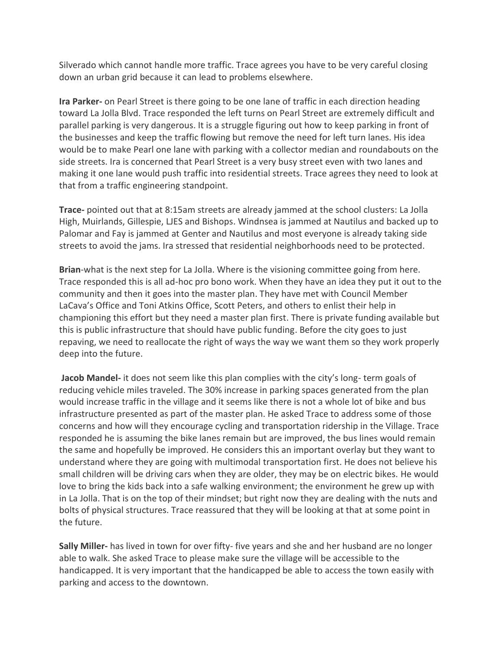Silverado which cannot handle more traffic. Trace agrees you have to be very careful closing down an urban grid because it can lead to problems elsewhere.

**Ira Parker-** on Pearl Street is there going to be one lane of traffic in each direction heading toward La Jolla Blvd. Trace responded the left turns on Pearl Street are extremely difficult and parallel parking is very dangerous. It is a struggle figuring out how to keep parking in front of the businesses and keep the traffic flowing but remove the need for left turn lanes. His idea would be to make Pearl one lane with parking with a collector median and roundabouts on the side streets. Ira is concerned that Pearl Street is a very busy street even with two lanes and making it one lane would push traffic into residential streets. Trace agrees they need to look at that from a traffic engineering standpoint.

**Trace-** pointed out that at 8:15am streets are already jammed at the school clusters: La Jolla High, Muirlands, Gillespie, LJES and Bishops. Windnsea is jammed at Nautilus and backed up to Palomar and Fay is jammed at Genter and Nautilus and most everyone is already taking side streets to avoid the jams. Ira stressed that residential neighborhoods need to be protected.

**Brian**-what is the next step for La Jolla. Where is the visioning committee going from here. Trace responded this is all ad-hoc pro bono work. When they have an idea they put it out to the community and then it goes into the master plan. They have met with Council Member LaCava's Office and Toni Atkins Office, Scott Peters, and others to enlist their help in championing this effort but they need a master plan first. There is private funding available but this is public infrastructure that should have public funding. Before the city goes to just repaving, we need to reallocate the right of ways the way we want them so they work properly deep into the future.

**Jacob Mandel-** it does not seem like this plan complies with the city's long- term goals of reducing vehicle miles traveled. The 30% increase in parking spaces generated from the plan would increase traffic in the village and it seems like there is not a whole lot of bike and bus infrastructure presented as part of the master plan. He asked Trace to address some of those concerns and how will they encourage cycling and transportation ridership in the Village. Trace responded he is assuming the bike lanes remain but are improved, the bus lines would remain the same and hopefully be improved. He considers this an important overlay but they want to understand where they are going with multimodal transportation first. He does not believe his small children will be driving cars when they are older, they may be on electric bikes. He would love to bring the kids back into a safe walking environment; the environment he grew up with in La Jolla. That is on the top of their mindset; but right now they are dealing with the nuts and bolts of physical structures. Trace reassured that they will be looking at that at some point in the future.

**Sally Miller-** has lived in town for over fifty- five years and she and her husband are no longer able to walk. She asked Trace to please make sure the village will be accessible to the handicapped. It is very important that the handicapped be able to access the town easily with parking and access to the downtown.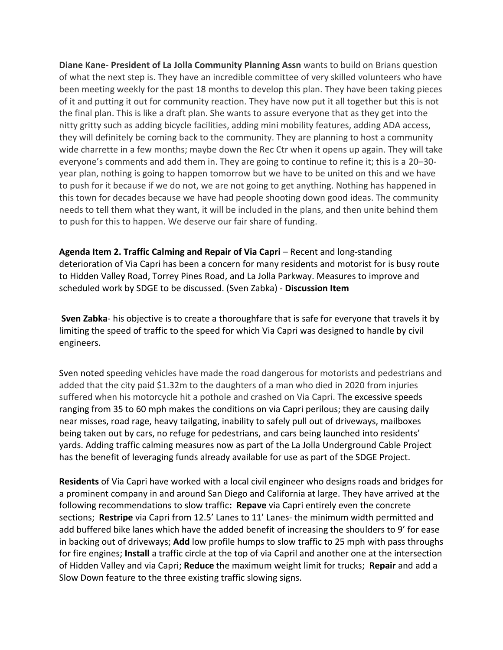**Diane Kane- President of La Jolla Community Planning Assn** wants to build on Brians question of what the next step is. They have an incredible committee of very skilled volunteers who have been meeting weekly for the past 18 months to develop this plan. They have been taking pieces of it and putting it out for community reaction. They have now put it all together but this is not the final plan. This is like a draft plan. She wants to assure everyone that as they get into the nitty gritty such as adding bicycle facilities, adding mini mobility features, adding ADA access, they will definitely be coming back to the community. They are planning to host a community wide charrette in a few months; maybe down the Rec Ctr when it opens up again. They will take everyone's comments and add them in. They are going to continue to refine it; this is a 20–30 year plan, nothing is going to happen tomorrow but we have to be united on this and we have to push for it because if we do not, we are not going to get anything. Nothing has happened in this town for decades because we have had people shooting down good ideas. The community needs to tell them what they want, it will be included in the plans, and then unite behind them to push for this to happen. We deserve our fair share of funding.

**Agenda Item 2. Traffic Calming and Repair of Via Capri** – Recent and long-standing deterioration of Via Capri has been a concern for many residents and motorist for is busy route to Hidden Valley Road, Torrey Pines Road, and La Jolla Parkway. Measures to improve and scheduled work by SDGE to be discussed. (Sven Zabka) - **Discussion Item**

**Sven Zabka**- his objective is to create a thoroughfare that is safe for everyone that travels it by limiting the speed of traffic to the speed for which Via Capri was designed to handle by civil engineers.

Sven noted speeding vehicles have made the road dangerous for motorists and pedestrians and added that the city paid \$1.32m to the daughters of a man who died in 2020 from injuries suffered when his motorcycle hit a pothole and crashed on Via Capri. The excessive speeds ranging from 35 to 60 mph makes the conditions on via Capri perilous; they are causing daily near misses, road rage, heavy tailgating, inability to safely pull out of driveways, mailboxes being taken out by cars, no refuge for pedestrians, and cars being launched into residents' yards. Adding traffic calming measures now as part of the La Jolla Underground Cable Project has the benefit of leveraging funds already available for use as part of the SDGE Project.

**Residents** of Via Capri have worked with a local civil engineer who designs roads and bridges for a prominent company in and around San Diego and California at large. They have arrived at the following recommendations to slow traffic**: Repave** via Capri entirely even the concrete sections; **Restripe** via Capri from 12.5' Lanes to 11' Lanes- the minimum width permitted and add buffered bike lanes which have the added benefit of increasing the shoulders to 9' for ease in backing out of driveways; **Add** low profile humps to slow traffic to 25 mph with pass throughs for fire engines; **Install** a traffic circle at the top of via Capril and another one at the intersection of Hidden Valley and via Capri; **Reduce** the maximum weight limit for trucks; **Repair** and add a Slow Down feature to the three existing traffic slowing signs.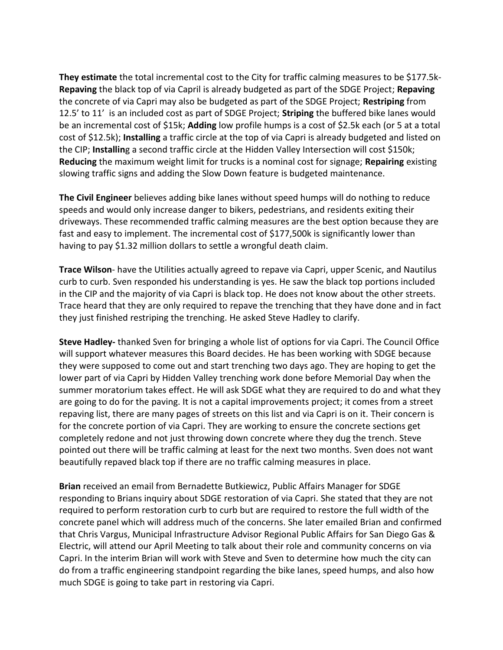**They estimate** the total incremental cost to the City for traffic calming measures to be \$177.5k-**Repaving** the black top of via Capril is already budgeted as part of the SDGE Project; **Repaving** the concrete of via Capri may also be budgeted as part of the SDGE Project; **Restriping** from 12.5' to 11' is an included cost as part of SDGE Project; **Striping** the buffered bike lanes would be an incremental cost of \$15k; **Adding** low profile humps is a cost of \$2.5k each (or 5 at a total cost of \$12.5k); **Installing** a traffic circle at the top of via Capri is already budgeted and listed on the CIP; **Installin**g a second traffic circle at the Hidden Valley Intersection will cost \$150k; **Reducing** the maximum weight limit for trucks is a nominal cost for signage; **Repairing** existing slowing traffic signs and adding the Slow Down feature is budgeted maintenance.

**The Civil Engineer** believes adding bike lanes without speed humps will do nothing to reduce speeds and would only increase danger to bikers, pedestrians, and residents exiting their driveways. These recommended traffic calming measures are the best option because they are fast and easy to implement. The incremental cost of \$177,500k is significantly lower than having to pay \$1.32 million dollars to settle a wrongful death claim.

**Trace Wilson**- have the Utilities actually agreed to repave via Capri, upper Scenic, and Nautilus curb to curb. Sven responded his understanding is yes. He saw the black top portions included in the CIP and the majority of via Capri is black top. He does not know about the other streets. Trace heard that they are only required to repave the trenching that they have done and in fact they just finished restriping the trenching. He asked Steve Hadley to clarify.

**Steve Hadley-** thanked Sven for bringing a whole list of options for via Capri. The Council Office will support whatever measures this Board decides. He has been working with SDGE because they were supposed to come out and start trenching two days ago. They are hoping to get the lower part of via Capri by Hidden Valley trenching work done before Memorial Day when the summer moratorium takes effect. He will ask SDGE what they are required to do and what they are going to do for the paving. It is not a capital improvements project; it comes from a street repaving list, there are many pages of streets on this list and via Capri is on it. Their concern is for the concrete portion of via Capri. They are working to ensure the concrete sections get completely redone and not just throwing down concrete where they dug the trench. Steve pointed out there will be traffic calming at least for the next two months. Sven does not want beautifully repaved black top if there are no traffic calming measures in place.

**Brian** received an email from Bernadette Butkiewicz, Public Affairs Manager for SDGE responding to Brians inquiry about SDGE restoration of via Capri. She stated that they are not required to perform restoration curb to curb but are required to restore the full width of the concrete panel which will address much of the concerns. She later emailed Brian and confirmed that Chris Vargus, Municipal Infrastructure Advisor Regional Public Affairs for San Diego Gas & Electric, will attend our April Meeting to talk about their role and community concerns on via Capri. In the interim Brian will work with Steve and Sven to determine how much the city can do from a traffic engineering standpoint regarding the bike lanes, speed humps, and also how much SDGE is going to take part in restoring via Capri.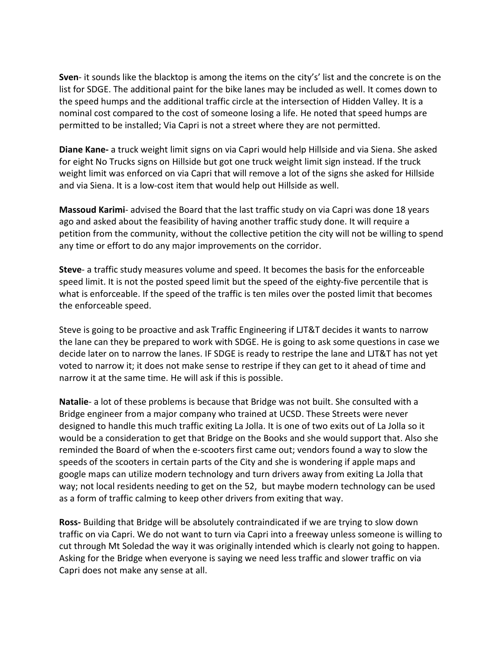**Sven**- it sounds like the blacktop is among the items on the city's' list and the concrete is on the list for SDGE. The additional paint for the bike lanes may be included as well. It comes down to the speed humps and the additional traffic circle at the intersection of Hidden Valley. It is a nominal cost compared to the cost of someone losing a life. He noted that speed humps are permitted to be installed; Via Capri is not a street where they are not permitted.

**Diane Kane-** a truck weight limit signs on via Capri would help Hillside and via Siena. She asked for eight No Trucks signs on Hillside but got one truck weight limit sign instead. If the truck weight limit was enforced on via Capri that will remove a lot of the signs she asked for Hillside and via Siena. It is a low-cost item that would help out Hillside as well.

**Massoud Karimi**- advised the Board that the last traffic study on via Capri was done 18 years ago and asked about the feasibility of having another traffic study done. It will require a petition from the community, without the collective petition the city will not be willing to spend any time or effort to do any major improvements on the corridor.

**Steve**- a traffic study measures volume and speed. It becomes the basis for the enforceable speed limit. It is not the posted speed limit but the speed of the eighty-five percentile that is what is enforceable. If the speed of the traffic is ten miles over the posted limit that becomes the enforceable speed.

Steve is going to be proactive and ask Traffic Engineering if LJT&T decides it wants to narrow the lane can they be prepared to work with SDGE. He is going to ask some questions in case we decide later on to narrow the lanes. IF SDGE is ready to restripe the lane and LJT&T has not yet voted to narrow it; it does not make sense to restripe if they can get to it ahead of time and narrow it at the same time. He will ask if this is possible.

**Natalie**- a lot of these problems is because that Bridge was not built. She consulted with a Bridge engineer from a major company who trained at UCSD. These Streets were never designed to handle this much traffic exiting La Jolla. It is one of two exits out of La Jolla so it would be a consideration to get that Bridge on the Books and she would support that. Also she reminded the Board of when the e-scooters first came out; vendors found a way to slow the speeds of the scooters in certain parts of the City and she is wondering if apple maps and google maps can utilize modern technology and turn drivers away from exiting La Jolla that way; not local residents needing to get on the 52, but maybe modern technology can be used as a form of traffic calming to keep other drivers from exiting that way.

**Ross-** Building that Bridge will be absolutely contraindicated if we are trying to slow down traffic on via Capri. We do not want to turn via Capri into a freeway unless someone is willing to cut through Mt Soledad the way it was originally intended which is clearly not going to happen. Asking for the Bridge when everyone is saying we need less traffic and slower traffic on via Capri does not make any sense at all.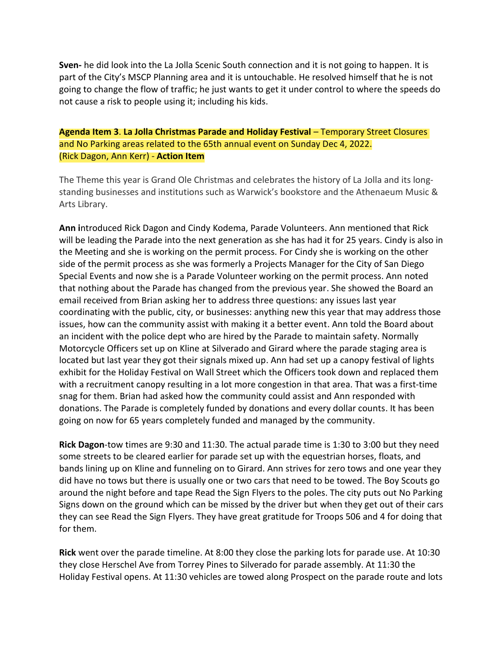**Sven-** he did look into the La Jolla Scenic South connection and it is not going to happen. It is part of the City's MSCP Planning area and it is untouchable. He resolved himself that he is not going to change the flow of traffic; he just wants to get it under control to where the speeds do not cause a risk to people using it; including his kids.

## **Agenda Item 3**. **La Jolla Christmas Parade and Holiday Festival** – Temporary Street Closures and No Parking areas related to the 65th annual event on Sunday Dec 4, 2022. (Rick Dagon, Ann Kerr) - **Action Item**

The Theme this year is Grand Ole Christmas and celebrates the history of La Jolla and its longstanding businesses and institutions such as Warwick's bookstore and the Athenaeum Music & Arts Library.

**Ann i**ntroduced Rick Dagon and Cindy Kodema, Parade Volunteers. Ann mentioned that Rick will be leading the Parade into the next generation as she has had it for 25 years. Cindy is also in the Meeting and she is working on the permit process. For Cindy she is working on the other side of the permit process as she was formerly a Projects Manager for the City of San Diego Special Events and now she is a Parade Volunteer working on the permit process. Ann noted that nothing about the Parade has changed from the previous year. She showed the Board an email received from Brian asking her to address three questions: any issues last year coordinating with the public, city, or businesses: anything new this year that may address those issues, how can the community assist with making it a better event. Ann told the Board about an incident with the police dept who are hired by the Parade to maintain safety. Normally Motorcycle Officers set up on Kline at Silverado and Girard where the parade staging area is located but last year they got their signals mixed up. Ann had set up a canopy festival of lights exhibit for the Holiday Festival on Wall Street which the Officers took down and replaced them with a recruitment canopy resulting in a lot more congestion in that area. That was a first-time snag for them. Brian had asked how the community could assist and Ann responded with donations. The Parade is completely funded by donations and every dollar counts. It has been going on now for 65 years completely funded and managed by the community.

**Rick Dagon**-tow times are 9:30 and 11:30. The actual parade time is 1:30 to 3:00 but they need some streets to be cleared earlier for parade set up with the equestrian horses, floats, and bands lining up on Kline and funneling on to Girard. Ann strives for zero tows and one year they did have no tows but there is usually one or two cars that need to be towed. The Boy Scouts go around the night before and tape Read the Sign Flyers to the poles. The city puts out No Parking Signs down on the ground which can be missed by the driver but when they get out of their cars they can see Read the Sign Flyers. They have great gratitude for Troops 506 and 4 for doing that for them.

**Rick** went over the parade timeline. At 8:00 they close the parking lots for parade use. At 10:30 they close Herschel Ave from Torrey Pines to Silverado for parade assembly. At 11:30 the Holiday Festival opens. At 11:30 vehicles are towed along Prospect on the parade route and lots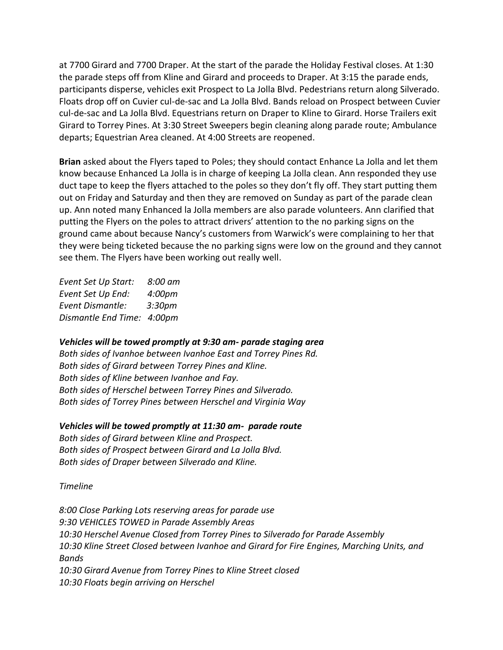at 7700 Girard and 7700 Draper. At the start of the parade the Holiday Festival closes. At 1:30 the parade steps off from Kline and Girard and proceeds to Draper. At 3:15 the parade ends, participants disperse, vehicles exit Prospect to La Jolla Blvd. Pedestrians return along Silverado. Floats drop off on Cuvier cul-de-sac and La Jolla Blvd. Bands reload on Prospect between Cuvier cul-de-sac and La Jolla Blvd. Equestrians return on Draper to Kline to Girard. Horse Trailers exit Girard to Torrey Pines. At 3:30 Street Sweepers begin cleaning along parade route; Ambulance departs; Equestrian Area cleaned. At 4:00 Streets are reopened.

**Brian** asked about the Flyers taped to Poles; they should contact Enhance La Jolla and let them know because Enhanced La Jolla is in charge of keeping La Jolla clean. Ann responded they use duct tape to keep the flyers attached to the poles so they don't fly off. They start putting them out on Friday and Saturday and then they are removed on Sunday as part of the parade clean up. Ann noted many Enhanced la Jolla members are also parade volunteers. Ann clarified that putting the Flyers on the poles to attract drivers' attention to the no parking signs on the ground came about because Nancy's customers from Warwick's were complaining to her that they were being ticketed because the no parking signs were low on the ground and they cannot see them. The Flyers have been working out really well.

*Event Set Up Start: 8:00 am Event Set Up End: 4:00pm Event Dismantle: 3:30pm Dismantle End Time: 4:00pm*

### *Vehicles will be towed promptly at 9:30 am- parade staging area*

*Both sides of Ivanhoe between Ivanhoe East and Torrey Pines Rd. Both sides of Girard between Torrey Pines and Kline. Both sides of Kline between Ivanhoe and Fay. Both sides of Herschel between Torrey Pines and Silverado. Both sides of Torrey Pines between Herschel and Virginia Way*

#### *Vehicles will be towed promptly at 11:30 am- parade route*

*Both sides of Girard between Kline and Prospect. Both sides of Prospect between Girard and La Jolla Blvd. Both sides of Draper between Silverado and Kline.*

### *Timeline*

*8:00 Close Parking Lots reserving areas for parade use 9:30 VEHICLES TOWED in Parade Assembly Areas 10:30 Herschel Avenue Closed from Torrey Pines to Silverado for Parade Assembly 10:30 Kline Street Closed between Ivanhoe and Girard for Fire Engines, Marching Units, and Bands 10:30 Girard Avenue from Torrey Pines to Kline Street closed 10:30 Floats begin arriving on Herschel*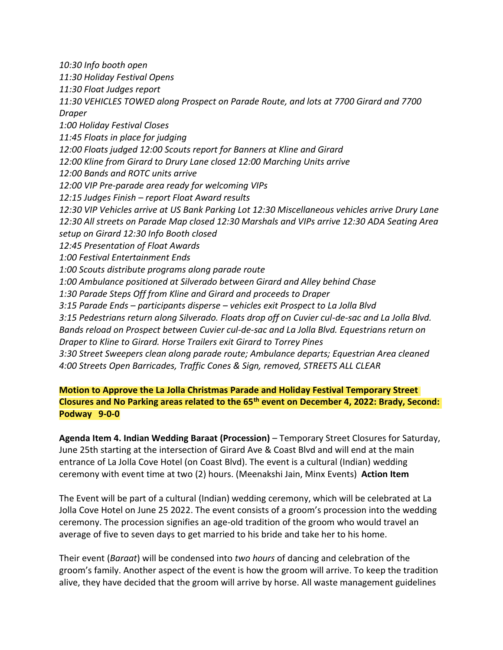*10:30 Info booth open 11:30 Holiday Festival Opens 11:30 Float Judges report 11:30 VEHICLES TOWED along Prospect on Parade Route, and lots at 7700 Girard and 7700 Draper 1:00 Holiday Festival Closes 11:45 Floats in place for judging 12:00 Floats judged 12:00 Scouts report for Banners at Kline and Girard 12:00 Kline from Girard to Drury Lane closed 12:00 Marching Units arrive 12:00 Bands and ROTC units arrive 12:00 VIP Pre-parade area ready for welcoming VIPs 12:15 Judges Finish – report Float Award results 12:30 VIP Vehicles arrive at US Bank Parking Lot 12:30 Miscellaneous vehicles arrive Drury Lane 12:30 All streets on Parade Map closed 12:30 Marshals and VIPs arrive 12:30 ADA Seating Area setup on Girard 12:30 Info Booth closed 12:45 Presentation of Float Awards 1:00 Festival Entertainment Ends 1:00 Scouts distribute programs along parade route 1:00 Ambulance positioned at Silverado between Girard and Alley behind Chase 1:30 Parade Steps Off from Kline and Girard and proceeds to Draper 3:15 Parade Ends – participants disperse – vehicles exit Prospect to La Jolla Blvd 3:15 Pedestrians return along Silverado. Floats drop off on Cuvier cul-de-sac and La Jolla Blvd. Bands reload on Prospect between Cuvier cul-de-sac and La Jolla Blvd. Equestrians return on Draper to Kline to Girard. Horse Trailers exit Girard to Torrey Pines 3:30 Street Sweepers clean along parade route; Ambulance departs; Equestrian Area cleaned 4:00 Streets Open Barricades, Traffic Cones & Sign, removed, STREETS ALL CLEAR*

**Motion to Approve the La Jolla Christmas Parade and Holiday Festival Temporary Street Closures and No Parking areas related to the 65th event on December 4, 2022: Brady, Second: Podway 9-0-0**

**Agenda Item 4. Indian Wedding Baraat (Procession)** – Temporary Street Closures for Saturday, June 25th starting at the intersection of Girard Ave & Coast Blvd and will end at the main entrance of La Jolla Cove Hotel (on Coast Blvd). The event is a cultural (Indian) wedding ceremony with event time at two (2) hours. (Meenakshi Jain, Minx Events) **Action Item**

The Event will be part of a cultural (Indian) wedding ceremony, which will be celebrated at La Jolla Cove Hotel on June 25 2022. The event consists of a groom's procession into the wedding ceremony. The procession signifies an age-old tradition of the groom who would travel an average of five to seven days to get married to his bride and take her to his home.

Their event (*Baraat*) will be condensed into *two hours* of dancing and celebration of the groom's family. Another aspect of the event is how the groom will arrive. To keep the tradition alive, they have decided that the groom will arrive by horse. All waste management guidelines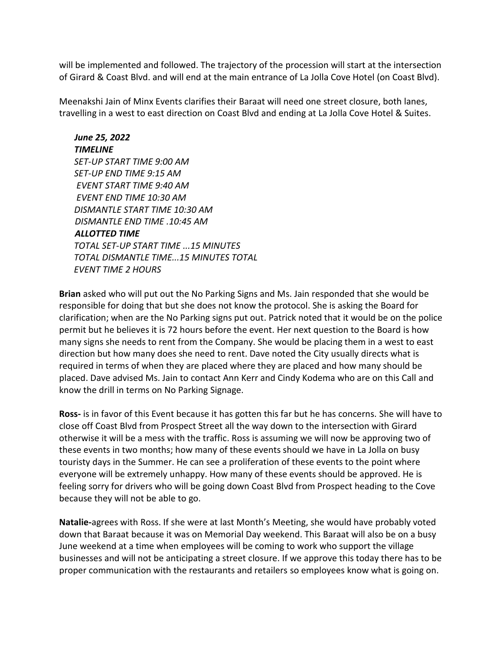will be implemented and followed. The trajectory of the procession will start at the intersection of Girard & Coast Blvd. and will end at the main entrance of La Jolla Cove Hotel (on Coast Blvd).

Meenakshi Jain of Minx Events clarifies their Baraat will need one street closure, both lanes, travelling in a west to east direction on Coast Blvd and ending at La Jolla Cove Hotel & Suites.

*June 25, 2022 TIMELINE SET-UP START TIME 9:00 AM SET-UP END TIME 9:15 AM EVENT START TIME 9:40 AM EVENT END TIME 10:30 AM DISMANTLE START TIME 10:30 AM DISMANTLE END TIME .10:45 AM ALLOTTED TIME TOTAL SET-UP START TIME ...15 MINUTES TOTAL DISMANTLE TIME...15 MINUTES TOTAL EVENT TIME 2 HOURS*

**Brian** asked who will put out the No Parking Signs and Ms. Jain responded that she would be responsible for doing that but she does not know the protocol. She is asking the Board for clarification; when are the No Parking signs put out. Patrick noted that it would be on the police permit but he believes it is 72 hours before the event. Her next question to the Board is how many signs she needs to rent from the Company. She would be placing them in a west to east direction but how many does she need to rent. Dave noted the City usually directs what is required in terms of when they are placed where they are placed and how many should be placed. Dave advised Ms. Jain to contact Ann Kerr and Cindy Kodema who are on this Call and know the drill in terms on No Parking Signage.

**Ross-** is in favor of this Event because it has gotten this far but he has concerns. She will have to close off Coast Blvd from Prospect Street all the way down to the intersection with Girard otherwise it will be a mess with the traffic. Ross is assuming we will now be approving two of these events in two months; how many of these events should we have in La Jolla on busy touristy days in the Summer. He can see a proliferation of these events to the point where everyone will be extremely unhappy. How many of these events should be approved. He is feeling sorry for drivers who will be going down Coast Blvd from Prospect heading to the Cove because they will not be able to go.

**Natalie-**agrees with Ross. If she were at last Month's Meeting, she would have probably voted down that Baraat because it was on Memorial Day weekend. This Baraat will also be on a busy June weekend at a time when employees will be coming to work who support the village businesses and will not be anticipating a street closure. If we approve this today there has to be proper communication with the restaurants and retailers so employees know what is going on.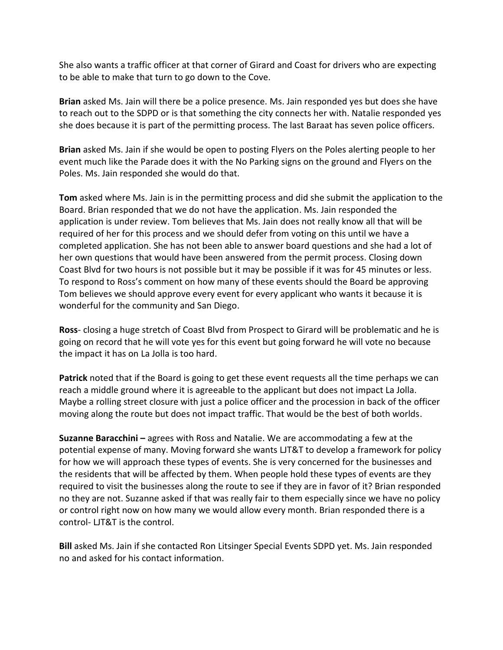She also wants a traffic officer at that corner of Girard and Coast for drivers who are expecting to be able to make that turn to go down to the Cove.

**Brian** asked Ms. Jain will there be a police presence. Ms. Jain responded yes but does she have to reach out to the SDPD or is that something the city connects her with. Natalie responded yes she does because it is part of the permitting process. The last Baraat has seven police officers.

**Brian** asked Ms. Jain if she would be open to posting Flyers on the Poles alerting people to her event much like the Parade does it with the No Parking signs on the ground and Flyers on the Poles. Ms. Jain responded she would do that.

**Tom** asked where Ms. Jain is in the permitting process and did she submit the application to the Board. Brian responded that we do not have the application. Ms. Jain responded the application is under review. Tom believes that Ms. Jain does not really know all that will be required of her for this process and we should defer from voting on this until we have a completed application. She has not been able to answer board questions and she had a lot of her own questions that would have been answered from the permit process. Closing down Coast Blvd for two hours is not possible but it may be possible if it was for 45 minutes or less. To respond to Ross's comment on how many of these events should the Board be approving Tom believes we should approve every event for every applicant who wants it because it is wonderful for the community and San Diego.

**Ross**- closing a huge stretch of Coast Blvd from Prospect to Girard will be problematic and he is going on record that he will vote yes for this event but going forward he will vote no because the impact it has on La Jolla is too hard.

**Patrick** noted that if the Board is going to get these event requests all the time perhaps we can reach a middle ground where it is agreeable to the applicant but does not impact La Jolla. Maybe a rolling street closure with just a police officer and the procession in back of the officer moving along the route but does not impact traffic. That would be the best of both worlds.

**Suzanne Baracchini –** agrees with Ross and Natalie. We are accommodating a few at the potential expense of many. Moving forward she wants LJT&T to develop a framework for policy for how we will approach these types of events. She is very concerned for the businesses and the residents that will be affected by them. When people hold these types of events are they required to visit the businesses along the route to see if they are in favor of it? Brian responded no they are not. Suzanne asked if that was really fair to them especially since we have no policy or control right now on how many we would allow every month. Brian responded there is a control- LJT&T is the control.

**Bill** asked Ms. Jain if she contacted Ron Litsinger Special Events SDPD yet. Ms. Jain responded no and asked for his contact information.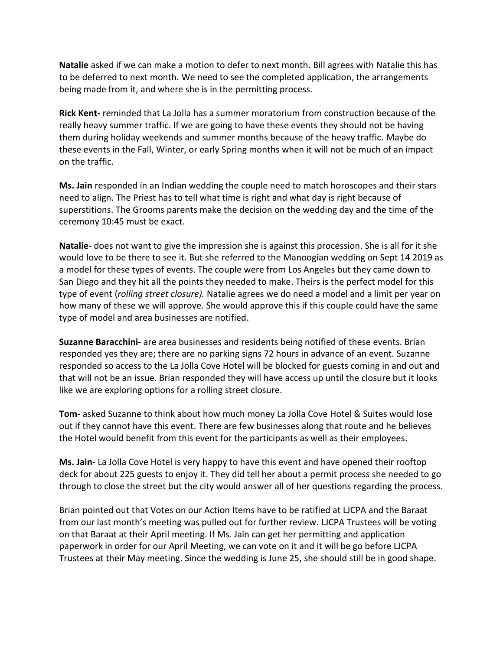**Natalie** asked if we can make a motion to defer to next month. Bill agrees with Natalie this has to be deferred to next month. We need to see the completed application, the arrangements being made from it, and where she is in the permitting process.

**Rick Kent-** reminded that La Jolla has a summer moratorium from construction because of the really heavy summer traffic. If we are going to have these events they should not be having them during holiday weekends and summer months because of the heavy traffic. Maybe do these events in the Fall, Winter, or early Spring months when it will not be much of an impact on the traffic.

**Ms. Jain** responded in an Indian wedding the couple need to match horoscopes and their stars need to align. The Priest has to tell what time is right and what day is right because of superstitions. The Grooms parents make the decision on the wedding day and the time of the ceremony 10:45 must be exact.

**Natalie-** does not want to give the impression she is against this procession. She is all for it she would love to be there to see it. But she referred to the Manoogian wedding on Sept 14 2019 as a model for these types of events. The couple were from Los Angeles but they came down to San Diego and they hit all the points they needed to make. Theirs is the perfect model for this type of event (*rolling street closure).* Natalie agrees we do need a model and a limit per year on how many of these we will approve. She would approve this if this couple could have the same type of model and area businesses are notified.

**Suzanne Baracchini-** are area businesses and residents being notified of these events. Brian responded yes they are; there are no parking signs 72 hours in advance of an event. Suzanne responded so access to the La Jolla Cove Hotel will be blocked for guests coming in and out and that will not be an issue. Brian responded they will have access up until the closure but it looks like we are exploring options for a rolling street closure.

**Tom**- asked Suzanne to think about how much money La Jolla Cove Hotel & Suites would lose out if they cannot have this event. There are few businesses along that route and he believes the Hotel would benefit from this event for the participants as well as their employees.

**Ms. Jain-** La Jolla Cove Hotel is very happy to have this event and have opened their rooftop deck for about 225 guests to enjoy it. They did tell her about a permit process she needed to go through to close the street but the city would answer all of her questions regarding the process.

Brian pointed out that Votes on our Action Items have to be ratified at LJCPA and the Baraat from our last month's meeting was pulled out for further review. LJCPA Trustees will be voting on that Baraat at their April meeting. If Ms. Jain can get her permitting and application paperwork in order for our April Meeting, we can vote on it and it will be go before LJCPA Trustees at their May meeting. Since the wedding is June 25, she should still be in good shape.